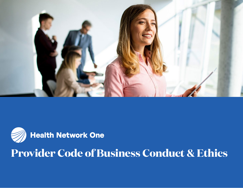



# **Provider Code of Business Conduct & Ethics**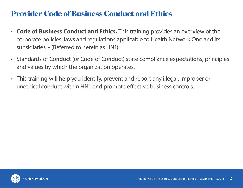### **Provider Code of Business Conduct and Ethics**

- **Code of Business Conduct and Ethics.** This training provides an overview of the corporate policies, laws and regulations applicable to Health Network One and its subsidiaries. - (Referred to herein as HN1)
- Standards of Conduct (or Code of Conduct) state compliance expectations, principles and values by which the organization operates.
- This training will help you identify, prevent and report any illegal, improper or unethical conduct within HN1 and promote effective business controls.

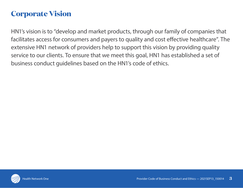### **Corporate Vision**

HN1's vision is to "develop and market products, through our family of companies that facilitates access for consumers and payers to quality and cost effective healthcare". The extensive HN1 network of providers help to support this vision by providing quality service to our clients. To ensure that we meet this goal, HN1 has established a set of business conduct guidelines based on the HN1's code of ethics.

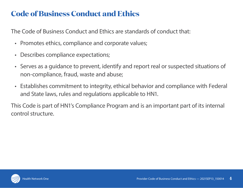### **Code of Business Conduct and Ethics**

The Code of Business Conduct and Ethics are standards of conduct that:

- Promotes ethics, compliance and corporate values;
- Describes compliance expectations;
- Serves as a guidance to prevent, identify and report real or suspected situations of non-compliance, fraud, waste and abuse;
- Establishes commitment to integrity, ethical behavior and compliance with Federal and State laws, rules and regulations applicable to HN1.

This Code is part of HN1's Compliance Program and is an important part of its internal control structure.

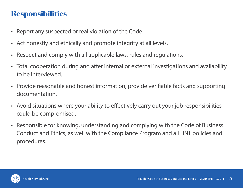## **Responsibilities**

- Report any suspected or real violation of the Code.
- Act honestly and ethically and promote integrity at all levels.
- Respect and comply with all applicable laws, rules and regulations.
- Total cooperation during and after internal or external investigations and availability to be interviewed.
- Provide reasonable and honest information, provide verifiable facts and supporting documentation.
- Avoid situations where your ability to effectively carry out your job responsibilities could be compromised.
- Responsible for knowing, understanding and complying with the Code of Business Conduct and Ethics, as well with the Compliance Program and all HN1 policies and procedures.

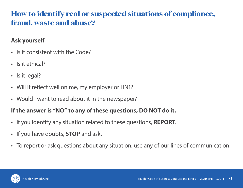## **How to identify real or suspected situations of compliance, fraud, waste and abuse?**

#### **Ask yourself**

- Is it consistent with the Code?
- Is it ethical?
- Is it legal?
- Will it reflect well on me, my employer or HN1?
- Would I want to read about it in the newspaper?

#### **If the answer is "NO" to any of these questions, DO NOT do it.**

- If you identify any situation related to these questions, **REPORT**.
- If you have doubts, **STOP** and ask.
- To report or ask questions about any situation, use any of our lines of communication.

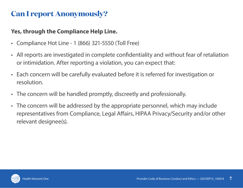### **Can I report Anonymously?**

#### **Yes, through the Compliance Help Line.**

- Compliance Hot Line 1 (866) 321-5550 (Toll Free)
- All reports are investigated in complete confidentiality and without fear of retaliation or intimidation. After reporting a violation, you can expect that:
- Each concern will be carefully evaluated before it is referred for investigation or resolution.
- The concern will be handled promptly, discreetly and professionally.
- The concern will be addressed by the appropriate personnel, which may include representatives from Compliance, Legal Affairs, HIPAA Privacy/Security and/or other relevant designee(s).

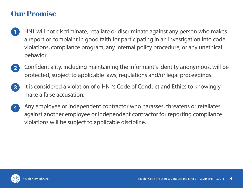#### **Our Promise**

- HN1 will not discriminate, retaliate or discriminate against any person who makes  $\mathbf 1$ a report or complaint in good faith for participating in an investigation into code violations, compliance program, any internal policy procedure, or any unethical behavior.
- Confidentiality, including maintaining the informant's identity anonymous, will be  $\mathbf{2}$ protected, subject to applicable laws, regulations and/or legal proceedings.
- It is considered a violation of o HN1's Code of Conduct and Ethics to knowingly  $\vert 3 \vert$ make a false accusation.
- Any employee or independent contractor who harasses, threatens or retaliates  $\overline{a}$ against another employee or independent contractor for reporting compliance violations will be subject to applicable discipline.

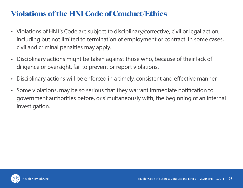# **Violations of the HN1 Code of Conduct/Ethics**

- Violations of HN1's Code are subject to disciplinary/corrective, civil or legal action, including but not limited to termination of employment or contract. In some cases, civil and criminal penalties may apply.
- Disciplinary actions might be taken against those who, because of their lack of diligence or oversight, fail to prevent or report violations.
- Disciplinary actions will be enforced in a timely, consistent and effective manner.
- Some violations, may be so serious that they warrant immediate notification to government authorities before, or simultaneously with, the beginning of an internal investigation.

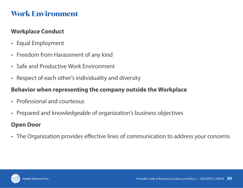### **Work Environment**

#### **Workplace Conduct**

- Equal Employment
- Freedom from Harassment of any kind
- Safe and Productive Work Environment
- Respect of each other's individuality and diversity

#### **Behavior when representing the company outside the Workplace**

- Professional and courteous
- Prepared and knowledgeable of organization's business objectives

#### **Open Door**

• The Organization provides effective lines of communication to address your concerns

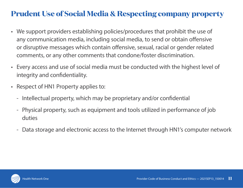## **Prudent Use of Social Media & Respecting company property**

- We support providers establishing policies/procedures that prohibit the use of any communication media, including social media, to send or obtain offensive or disruptive messages which contain offensive, sexual, racial or gender related comments, or any other comments that condone/foster discrimination.
- Every access and use of social media must be conducted with the highest level of integrity and confidentiality.
- Respect of HN1 Property applies to:
	- Intellectual property, which may be proprietary and/or confidential
	- Physical property, such as equipment and tools utilized in performance of job duties
	- Data storage and electronic access to the Internet through HN1's computer network

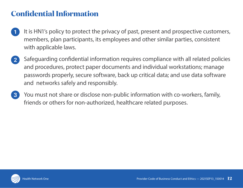## **Confidential Information**

- It is HN1's policy to protect the privacy of past, present and prospective customers,  $\mathbf 1$ members, plan participants, its employees and other similar parties, consistent with applicable laws.
- Safeguarding confidential information requires compliance with all related policies  $\mathbf{2}^{\mathsf{T}}$ and procedures, protect paper documents and individual workstations; manage passwords properly, secure software, back up critical data; and use data software and networks safely and responsibly.
- You must not share or disclose non-public information with co-workers, family,  $\vert 3 \vert$ friends or others for non-authorized, healthcare related purposes.

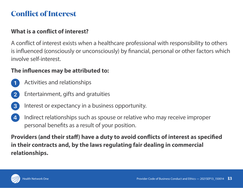### **Conflict of Interest**

#### **What is a conflict of interest?**

A conflict of interest exists when a healthcare professional with responsibility to others is influenced (consciously or unconsciously) by financial, personal or other factors which involve self-interest.

#### **The influences may be attributed to:**

- Activities and relationships
- Entertainment, gifts and gratuities  $\overline{2}$
- $\mathbf{3}^{\mathsf{T}}$ Interest or expectancy in a business opportunity.
- Indirect relationships such as spouse or relative who may receive improper  $\mathbf{A}^{\dagger}$ personal benefits as a result of your position.

**Providers (and their staff) have a duty to avoid conflicts of interest as specified in their contracts and, by the laws regulating fair dealing in commercial relationships.**